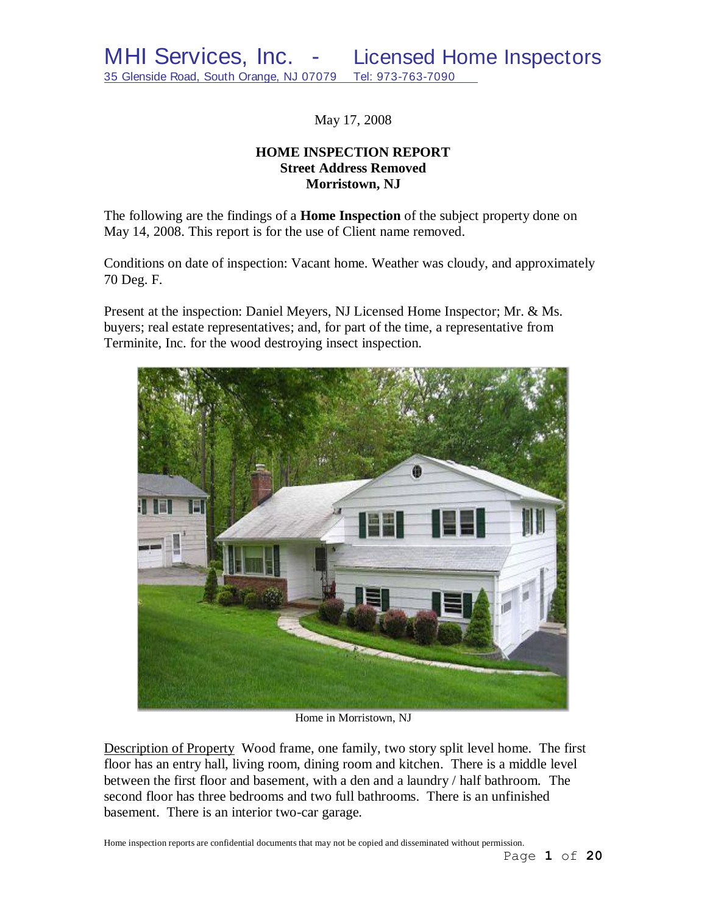May 17, 2008

## **HOME INSPECTION REPORT Street Address Removed Morristown, NJ**

The following are the findings of a **Home Inspection** of the subject property done on May 14, 2008. This report is for the use of Client name removed.

Conditions on date of inspection: Vacant home. Weather was cloudy, and approximately 70 Deg. F.

Present at the inspection: Daniel Meyers, NJ Licensed Home Inspector; Mr. & Ms. buyers; real estate representatives; and, for part of the time, a representative from Terminite, Inc. for the wood destroying insect inspection.



Home in Morristown, NJ

Description of Property Wood frame, one family, two story split level home. The first floor has an entry hall, living room, dining room and kitchen. There is a middle level between the first floor and basement, with a den and a laundry / half bathroom. The second floor has three bedrooms and two full bathrooms. There is an unfinished basement. There is an interior two-car garage.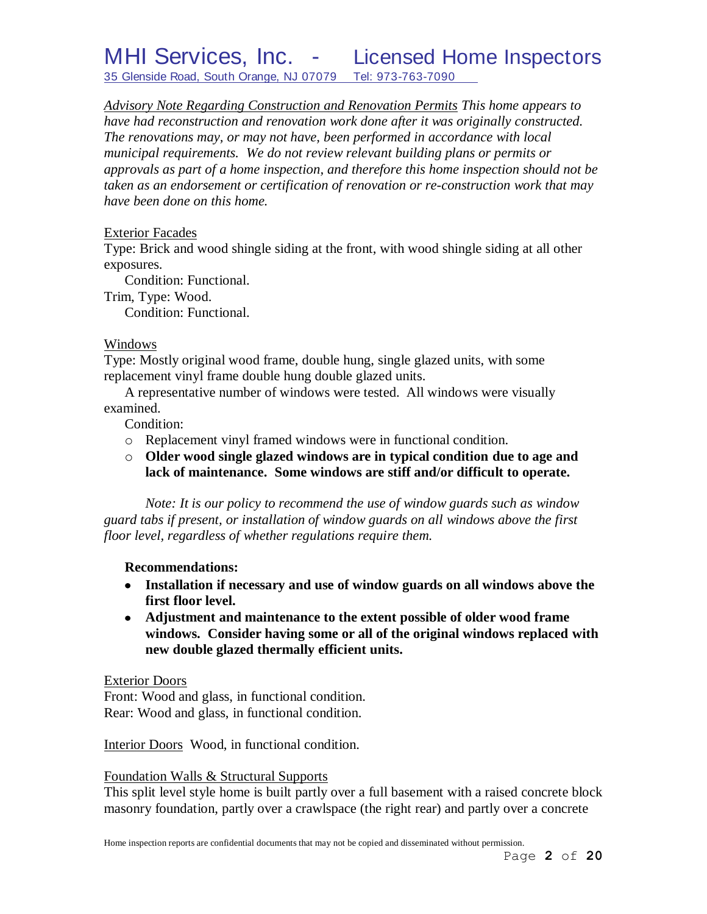# MHI Services, Inc. - Licensed Home Inspectors 35 Glenside Road, South Orange, NJ 07079 Tel: 973-763-7090

*Advisory Note Regarding Construction and Renovation Permits This home appears to have had reconstruction and renovation work done after it was originally constructed. The renovations may, or may not have, been performed in accordance with local municipal requirements. We do not review relevant building plans or permits or approvals as part of a home inspection, and therefore this home inspection should not be taken as an endorsement or certification of renovation or re-construction work that may have been done on this home.*

#### Exterior Facades

Type: Brick and wood shingle siding at the front, with wood shingle siding at all other exposures.

Condition: Functional.

Trim, Type: Wood.

Condition: Functional.

#### Windows

Type: Mostly original wood frame, double hung, single glazed units, with some replacement vinyl frame double hung double glazed units.

A representative number of windows were tested. All windows were visually examined.

Condition:

- o Replacement vinyl framed windows were in functional condition.
- o **Older wood single glazed windows are in typical condition due to age and lack of maintenance. Some windows are stiff and/or difficult to operate.**

*Note: It is our policy to recommend the use of window guards such as window guard tabs if present, or installation of window guards on all windows above the first floor level, regardless of whether regulations require them.*

#### **Recommendations:**

- **Installation if necessary and use of window guards on all windows above the first floor level.**
- **Adjustment and maintenance to the extent possible of older wood frame windows. Consider having some or all of the original windows replaced with new double glazed thermally efficient units.**

#### Exterior Doors

Front: Wood and glass, in functional condition. Rear: Wood and glass, in functional condition.

Interior Doors Wood, in functional condition.

#### Foundation Walls & Structural Supports

This split level style home is built partly over a full basement with a raised concrete block masonry foundation, partly over a crawlspace (the right rear) and partly over a concrete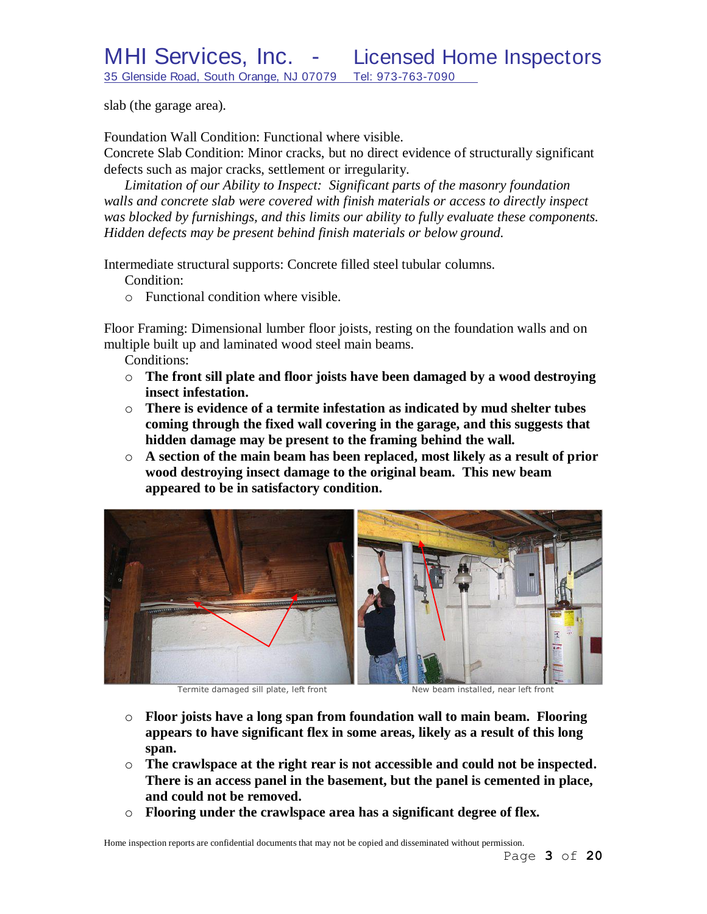slab (the garage area).

Foundation Wall Condition: Functional where visible.

Concrete Slab Condition: Minor cracks, but no direct evidence of structurally significant defects such as major cracks, settlement or irregularity.

*Limitation of our Ability to Inspect: Significant parts of the masonry foundation walls and concrete slab were covered with finish materials or access to directly inspect was blocked by furnishings, and this limits our ability to fully evaluate these components. Hidden defects may be present behind finish materials or below ground.*

Intermediate structural supports: Concrete filled steel tubular columns.

Condition:

o Functional condition where visible.

Floor Framing: Dimensional lumber floor joists, resting on the foundation walls and on multiple built up and laminated wood steel main beams.

Conditions:

- o **The front sill plate and floor joists have been damaged by a wood destroying insect infestation.**
- o **There is evidence of a termite infestation as indicated by mud shelter tubes coming through the fixed wall covering in the garage, and this suggests that hidden damage may be present to the framing behind the wall.**
- o **A section of the main beam has been replaced, most likely as a result of prior wood destroying insect damage to the original beam. This new beam appeared to be in satisfactory condition.**



Termite damaged sill plate, left front New beam installed, near left front

- o **Floor joists have a long span from foundation wall to main beam. Flooring appears to have significant flex in some areas, likely as a result of this long span.**
- o **The crawlspace at the right rear is not accessible and could not be inspected. There is an access panel in the basement, but the panel is cemented in place, and could not be removed.**
- o **Flooring under the crawlspace area has a significant degree of flex.**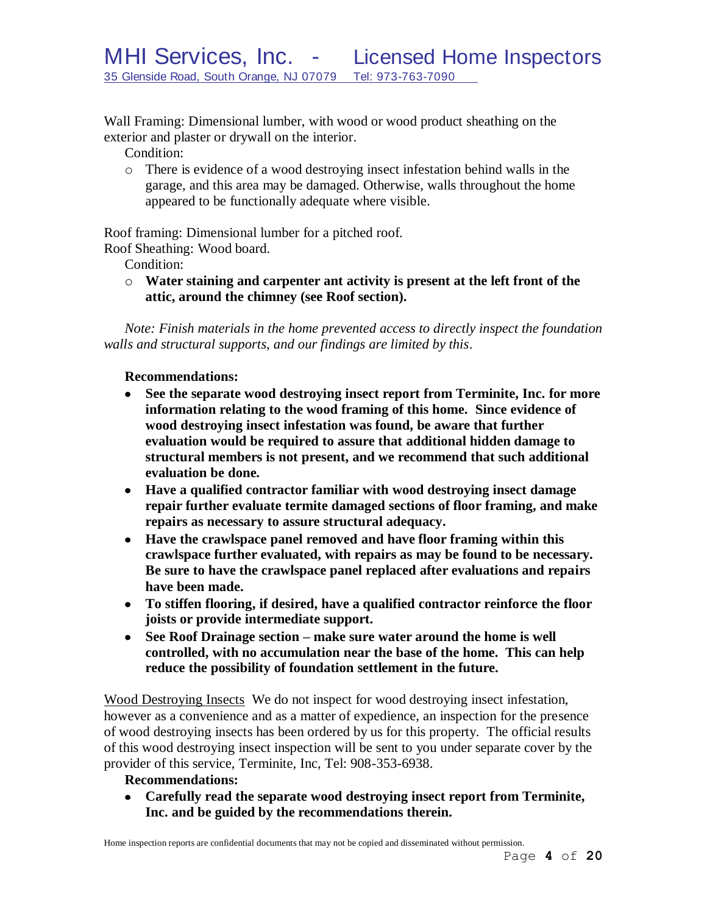Wall Framing: Dimensional lumber, with wood or wood product sheathing on the exterior and plaster or drywall on the interior.

Condition:

o There is evidence of a wood destroying insect infestation behind walls in the garage, and this area may be damaged. Otherwise, walls throughout the home appeared to be functionally adequate where visible.

Roof framing: Dimensional lumber for a pitched roof.

Roof Sheathing: Wood board.

Condition:

o **Water staining and carpenter ant activity is present at the left front of the attic, around the chimney (see Roof section).**

*Note: Finish materials in the home prevented access to directly inspect the foundation walls and structural supports, and our findings are limited by this*.

## **Recommendations:**

- **See the separate wood destroying insect report from Terminite, Inc. for more information relating to the wood framing of this home. Since evidence of wood destroying insect infestation was found, be aware that further evaluation would be required to assure that additional hidden damage to structural members is not present, and we recommend that such additional evaluation be done.**
- **Have a qualified contractor familiar with wood destroying insect damage repair further evaluate termite damaged sections of floor framing, and make repairs as necessary to assure structural adequacy.**
- **Have the crawlspace panel removed and have floor framing within this crawlspace further evaluated, with repairs as may be found to be necessary. Be sure to have the crawlspace panel replaced after evaluations and repairs have been made.**
- **To stiffen flooring, if desired, have a qualified contractor reinforce the floor joists or provide intermediate support.**
- **See Roof Drainage section – make sure water around the home is well controlled, with no accumulation near the base of the home. This can help reduce the possibility of foundation settlement in the future.**

Wood Destroying Insects We do not inspect for wood destroying insect infestation, however as a convenience and as a matter of expedience, an inspection for the presence of wood destroying insects has been ordered by us for this property. The official results of this wood destroying insect inspection will be sent to you under separate cover by the provider of this service, Terminite, Inc, Tel: 908-353-6938.

## **Recommendations:**

**Carefully read the separate wood destroying insect report from Terminite, Inc. and be guided by the recommendations therein.**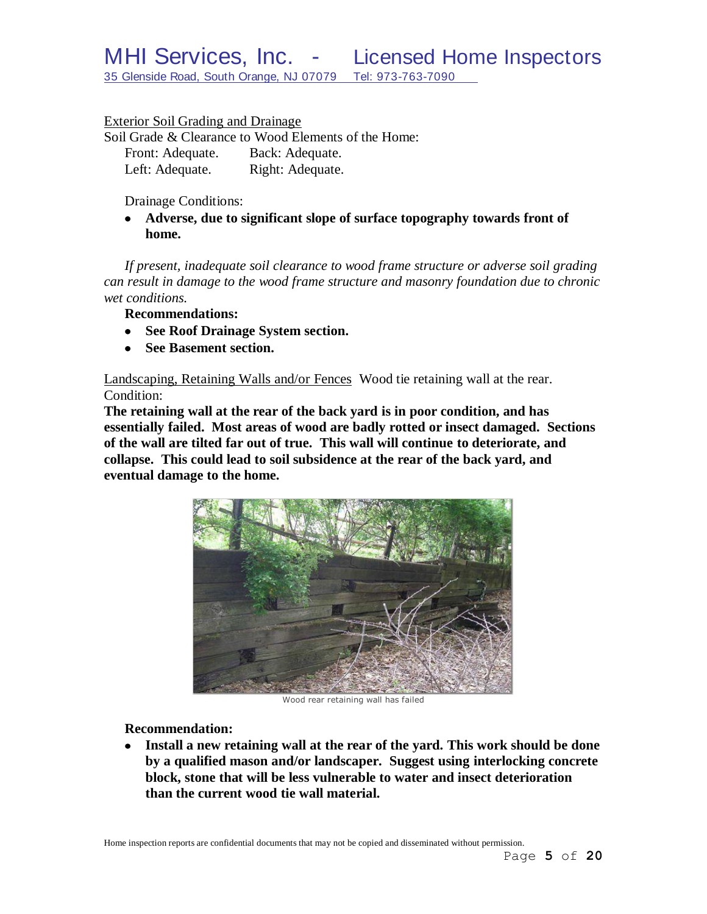Exterior Soil Grading and Drainage

Soil Grade & Clearance to Wood Elements of the Home: Front: Adequate. Back: Adequate.

| From: Adequate. |  | Back: Adequate.  |  |
|-----------------|--|------------------|--|
| Left: Adequate. |  | Right: Adequate. |  |

Drainage Conditions:

**Adverse, due to significant slope of surface topography towards front of home.**

*If present, inadequate soil clearance to wood frame structure or adverse soil grading can result in damage to the wood frame structure and masonry foundation due to chronic wet conditions.*

**Recommendations:**

- **See Roof Drainage System section.**
- **See Basement section.**

Landscaping, Retaining Walls and/or Fences Wood tie retaining wall at the rear. Condition:

**The retaining wall at the rear of the back yard is in poor condition, and has essentially failed. Most areas of wood are badly rotted or insect damaged. Sections of the wall are tilted far out of true. This wall will continue to deteriorate, and collapse. This could lead to soil subsidence at the rear of the back yard, and eventual damage to the home.**



Wood rear retaining wall has failed

**Recommendation:**

**Install a new retaining wall at the rear of the yard. This work should be done by a qualified mason and/or landscaper. Suggest using interlocking concrete block, stone that will be less vulnerable to water and insect deterioration than the current wood tie wall material.**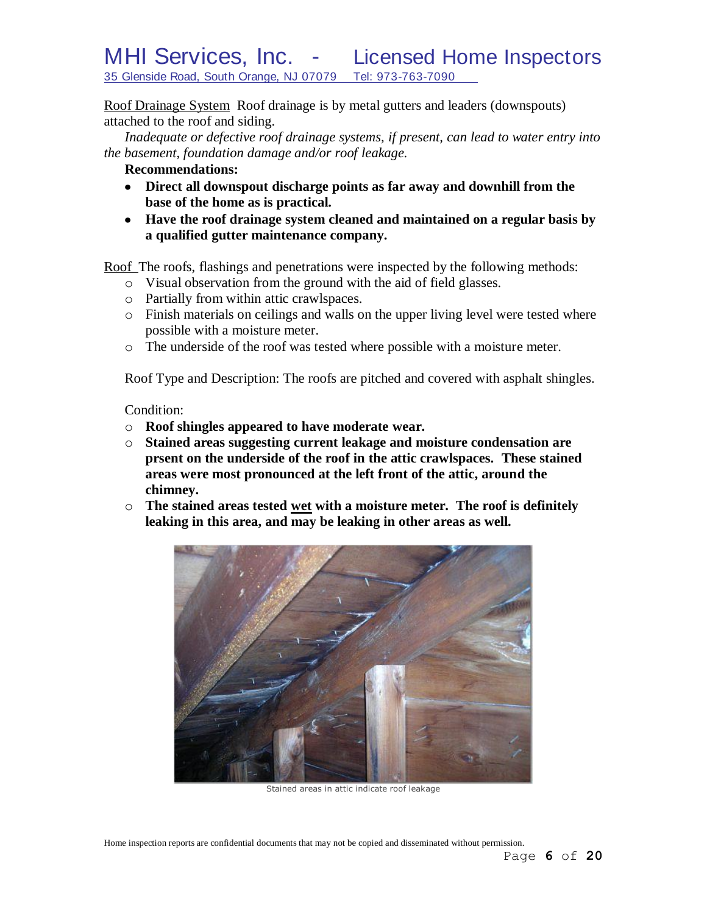# MHI Services, Inc. - Licensed Home Inspectors 35 Glenside Road, South Orange, NJ 07079 Tel: 973-763-7090

Roof Drainage System Roof drainage is by metal gutters and leaders (downspouts) attached to the roof and siding.

*Inadequate or defective roof drainage systems, if present, can lead to water entry into the basement, foundation damage and/or roof leakage.*

- **Recommendations:**
- **Direct all downspout discharge points as far away and downhill from the base of the home as is practical.**
- **Have the roof drainage system cleaned and maintained on a regular basis by a qualified gutter maintenance company.**

Roof The roofs, flashings and penetrations were inspected by the following methods:

- o Visual observation from the ground with the aid of field glasses.
- o Partially from within attic crawlspaces.
- o Finish materials on ceilings and walls on the upper living level were tested where possible with a moisture meter.
- o The underside of the roof was tested where possible with a moisture meter.

Roof Type and Description: The roofs are pitched and covered with asphalt shingles.

#### Condition:

- o **Roof shingles appeared to have moderate wear.**
- o **Stained areas suggesting current leakage and moisture condensation are prsent on the underside of the roof in the attic crawlspaces. These stained areas were most pronounced at the left front of the attic, around the chimney.**
- o **The stained areas tested wet with a moisture meter. The roof is definitely leaking in this area, and may be leaking in other areas as well.**



Stained areas in attic indicate roof leakage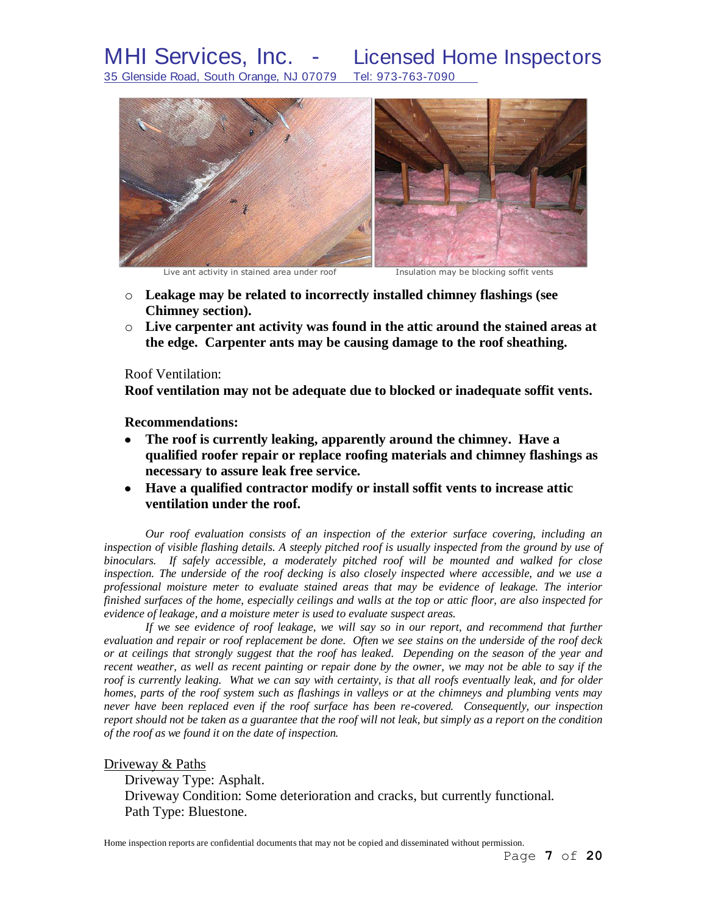MHI Services, Inc. - Licensed Home Inspectors 35 Glenside Road, South Orange, NJ 07079 Tel: 973-763-7090



Live ant activity in stained area under roof **Insulation may be blocking soffit vents** 

- o **Leakage may be related to incorrectly installed chimney flashings (see Chimney section).**
- o **Live carpenter ant activity was found in the attic around the stained areas at the edge. Carpenter ants may be causing damage to the roof sheathing.**

#### Roof Ventilation:

**Roof ventilation may not be adequate due to blocked or inadequate soffit vents.**

**Recommendations:**

- **The roof is currently leaking, apparently around the chimney. Have a qualified roofer repair or replace roofing materials and chimney flashings as necessary to assure leak free service.**
- **Have a qualified contractor modify or install soffit vents to increase attic ventilation under the roof.**

*Our roof evaluation consists of an inspection of the exterior surface covering, including an inspection of visible flashing details. A steeply pitched roof is usually inspected from the ground by use of binoculars. If safely accessible, a moderately pitched roof will be mounted and walked for close inspection. The underside of the roof decking is also closely inspected where accessible, and we use a professional moisture meter to evaluate stained areas that may be evidence of leakage. The interior finished surfaces of the home, especially ceilings and walls at the top or attic floor, are also inspected for evidence of leakage, and a moisture meter is used to evaluate suspect areas.*

*If we see evidence of roof leakage, we will say so in our report, and recommend that further evaluation and repair or roof replacement be done. Often we see stains on the underside of the roof deck or at ceilings that strongly suggest that the roof has leaked. Depending on the season of the year and recent weather, as well as recent painting or repair done by the owner, we may not be able to say if the roof is currently leaking. What we can say with certainty, is that all roofs eventually leak, and for older homes, parts of the roof system such as flashings in valleys or at the chimneys and plumbing vents may never have been replaced even if the roof surface has been re-covered. Consequently, our inspection report should not be taken as a guarantee that the roof will not leak, but simply as a report on the condition of the roof as we found it on the date of inspection.*

#### Driveway & Paths

Driveway Type: Asphalt. Driveway Condition: Some deterioration and cracks, but currently functional. Path Type: Bluestone.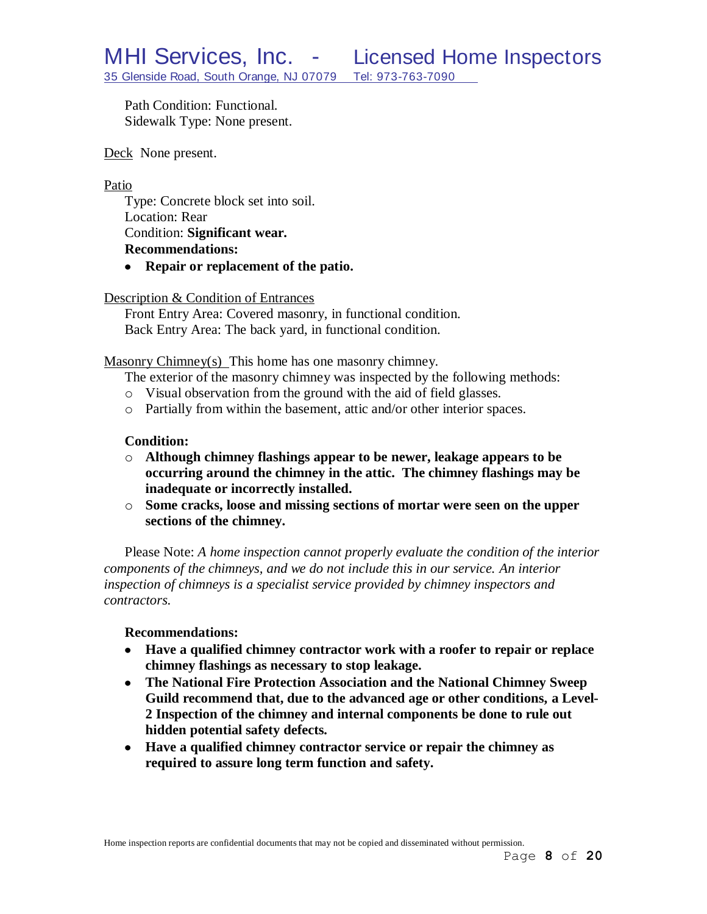Path Condition: Functional. Sidewalk Type: None present.

Deck None present.

### Patio

Type: Concrete block set into soil. Location: Rear Condition: **Significant wear. Recommendations:**

**Repair or replacement of the patio.**

## Description & Condition of Entrances

Front Entry Area: Covered masonry, in functional condition. Back Entry Area: The back yard, in functional condition.

Masonry Chimney(s) This home has one masonry chimney.

- The exterior of the masonry chimney was inspected by the following methods:
- o Visual observation from the ground with the aid of field glasses.
- o Partially from within the basement, attic and/or other interior spaces.

## **Condition:**

- o **Although chimney flashings appear to be newer, leakage appears to be occurring around the chimney in the attic. The chimney flashings may be inadequate or incorrectly installed.**
- o **Some cracks, loose and missing sections of mortar were seen on the upper sections of the chimney.**

Please Note: *A home inspection cannot properly evaluate the condition of the interior components of the chimneys, and we do not include this in our service. An interior inspection of chimneys is a specialist service provided by chimney inspectors and contractors.*

#### **Recommendations:**

- **Have a qualified chimney contractor work with a roofer to repair or replace chimney flashings as necessary to stop leakage.**
- **The National Fire Protection Association and the National Chimney Sweep Guild recommend that, due to the advanced age or other conditions, a Level-2 Inspection of the chimney and internal components be done to rule out hidden potential safety defects***.*
- **Have a qualified chimney contractor service or repair the chimney as required to assure long term function and safety.**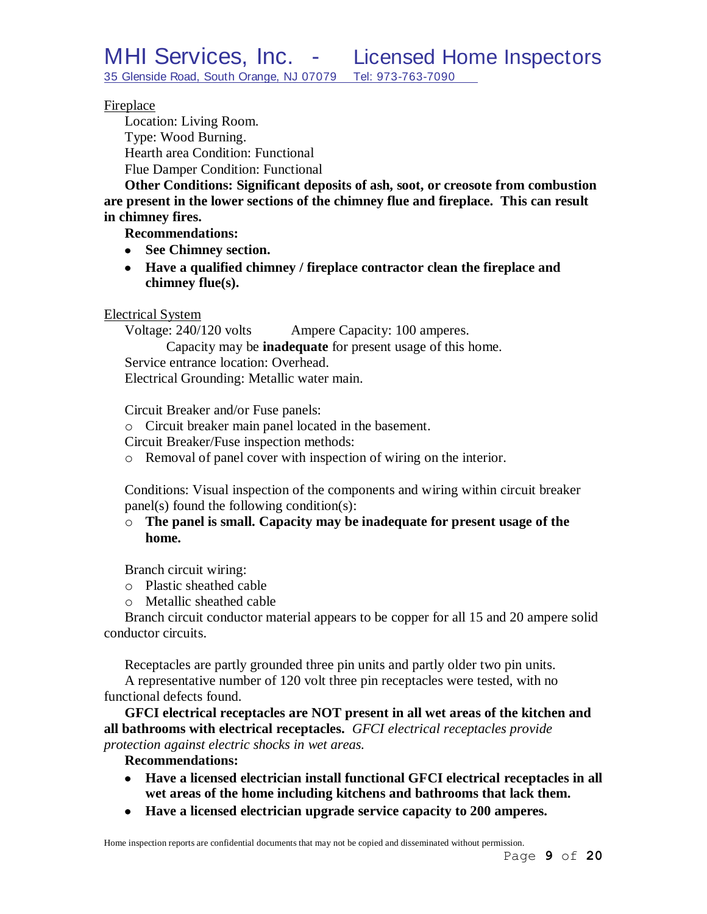## Fireplace

Location: Living Room. Type: Wood Burning. Hearth area Condition: Functional Flue Damper Condition: Functional

**Other Conditions: Significant deposits of ash, soot, or creosote from combustion are present in the lower sections of the chimney flue and fireplace. This can result in chimney fires.**

**Recommendations:**

- **See Chimney section.**
- **Have a qualified chimney / fireplace contractor clean the fireplace and chimney flue(s).**

Electrical System

Voltage: 240/120 volts Ampere Capacity: 100 amperes.

Capacity may be **inadequate** for present usage of this home.

Service entrance location: Overhead.

Electrical Grounding: Metallic water main.

Circuit Breaker and/or Fuse panels:

- o Circuit breaker main panel located in the basement.
- Circuit Breaker/Fuse inspection methods:
- o Removal of panel cover with inspection of wiring on the interior.

Conditions: Visual inspection of the components and wiring within circuit breaker panel(s) found the following condition(s):

## o **The panel is small. Capacity may be inadequate for present usage of the home.**

Branch circuit wiring:

- o Plastic sheathed cable
- o Metallic sheathed cable

Branch circuit conductor material appears to be copper for all 15 and 20 ampere solid conductor circuits.

Receptacles are partly grounded three pin units and partly older two pin units. A representative number of 120 volt three pin receptacles were tested, with no functional defects found.

**GFCI electrical receptacles are NOT present in all wet areas of the kitchen and all bathrooms with electrical receptacles.** *GFCI electrical receptacles provide protection against electric shocks in wet areas.*

## **Recommendations:**

- **Have a licensed electrician install functional GFCI electrical receptacles in all wet areas of the home including kitchens and bathrooms that lack them.**
- **Have a licensed electrician upgrade service capacity to 200 amperes.**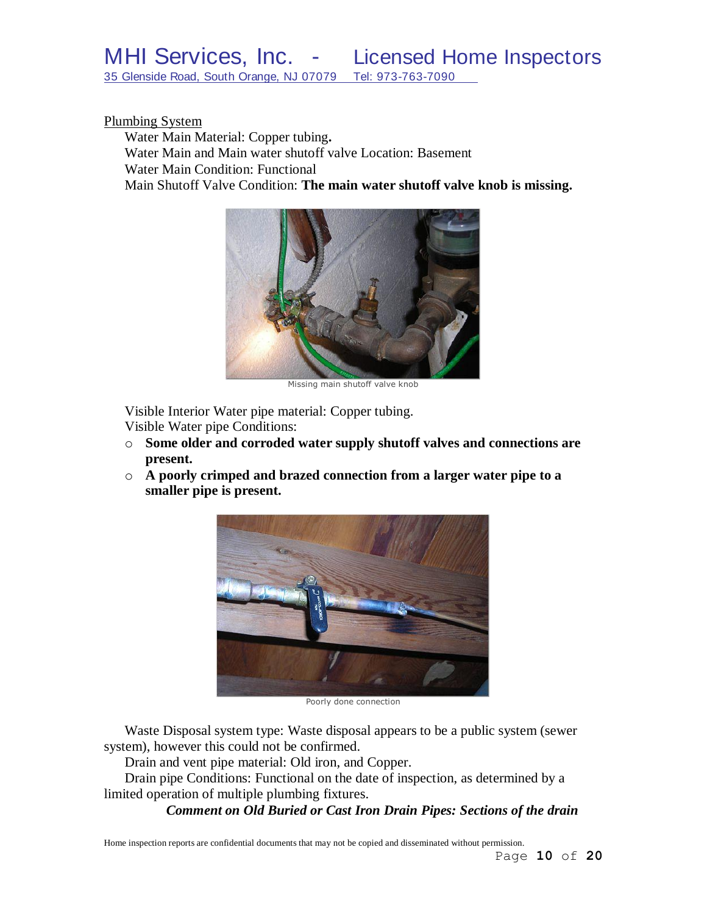Plumbing System

Water Main Material: Copper tubing**.** Water Main and Main water shutoff valve Location: Basement Water Main Condition: Functional Main Shutoff Valve Condition: **The main water shutoff valve knob is missing.**



Missing main shutoff valve knob

Visible Interior Water pipe material: Copper tubing.

Visible Water pipe Conditions:

- o **Some older and corroded water supply shutoff valves and connections are present.**
- o **A poorly crimped and brazed connection from a larger water pipe to a smaller pipe is present.**



Poorly done connection

Waste Disposal system type: Waste disposal appears to be a public system (sewer system), however this could not be confirmed.

Drain and vent pipe material: Old iron, and Copper.

Drain pipe Conditions: Functional on the date of inspection, as determined by a limited operation of multiple plumbing fixtures.

*Comment on Old Buried or Cast Iron Drain Pipes: Sections of the drain*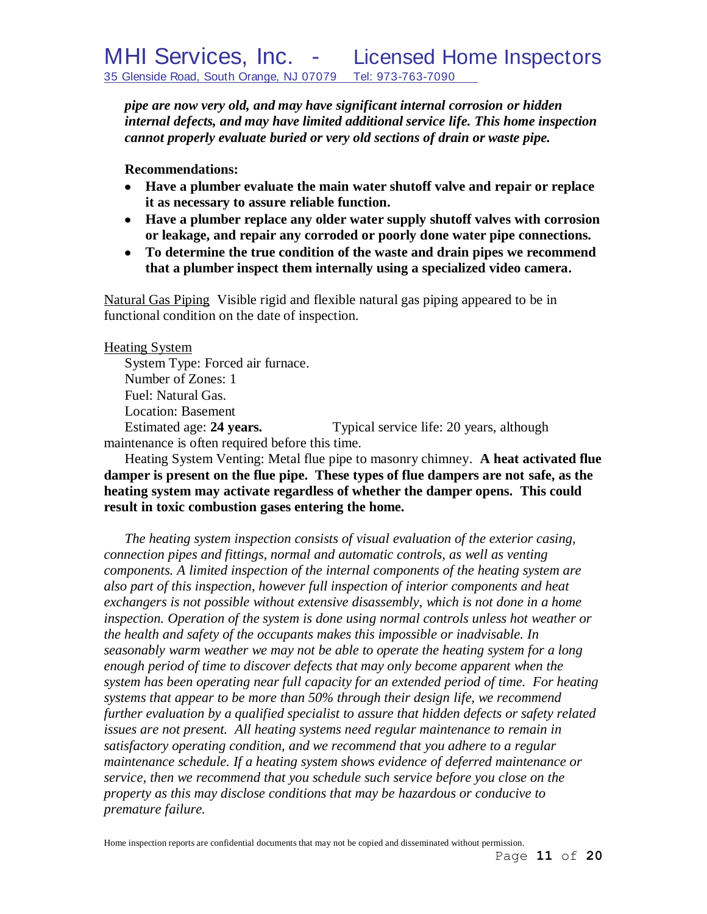*pipe are now very old, and may have significant internal corrosion or hidden internal defects, and may have limited additional service life. This home inspection cannot properly evaluate buried or very old sections of drain or waste pipe.*

**Recommendations:**

- **Have a plumber evaluate the main water shutoff valve and repair or replace it as necessary to assure reliable function.**
- **Have a plumber replace any older water supply shutoff valves with corrosion or leakage, and repair any corroded or poorly done water pipe connections.**
- **To determine the true condition of the waste and drain pipes we recommend that a plumber inspect them internally using a specialized video camera.**

Natural Gas Piping Visible rigid and flexible natural gas piping appeared to be in functional condition on the date of inspection.

Heating System

System Type: Forced air furnace. Number of Zones: 1 Fuel: Natural Gas. Location: Basement

Estimated age: **24 years.** Typical service life: 20 years, although maintenance is often required before this time.

Heating System Venting: Metal flue pipe to masonry chimney. **A heat activated flue damper is present on the flue pipe. These types of flue dampers are not safe, as the heating system may activate regardless of whether the damper opens. This could result in toxic combustion gases entering the home.**

*The heating system inspection consists of visual evaluation of the exterior casing, connection pipes and fittings, normal and automatic controls, as well as venting components. A limited inspection of the internal components of the heating system are also part of this inspection, however full inspection of interior components and heat*  exchangers is not possible without extensive disassembly, which is not done in a home *inspection. Operation of the system is done using normal controls unless hot weather or the health and safety of the occupants makes this impossible or inadvisable. In seasonably warm weather we may not be able to operate the heating system for a long enough period of time to discover defects that may only become apparent when the system has been operating near full capacity for an extended period of time. For heating systems that appear to be more than 50% through their design life, we recommend further evaluation by a qualified specialist to assure that hidden defects or safety related issues are not present. All heating systems need regular maintenance to remain in satisfactory operating condition, and we recommend that you adhere to a regular maintenance schedule. If a heating system shows evidence of deferred maintenance or service, then we recommend that you schedule such service before you close on the property as this may disclose conditions that may be hazardous or conducive to premature failure.*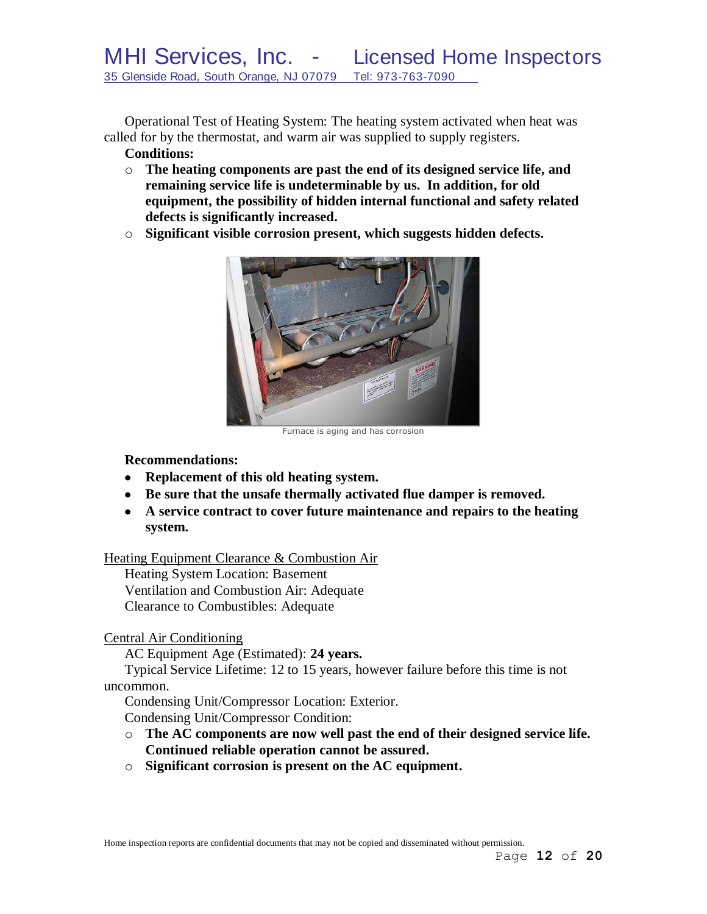Operational Test of Heating System: The heating system activated when heat was called for by the thermostat, and warm air was supplied to supply registers. **Conditions:**

- o **The heating components are past the end of its designed service life, and remaining service life is undeterminable by us. In addition, for old equipment, the possibility of hidden internal functional and safety related defects is significantly increased.**
- o **Significant visible corrosion present, which suggests hidden defects.**



Furnace is aging and has corrosion

## **Recommendations:**

- **Replacement of this old heating system.**
- **Be sure that the unsafe thermally activated flue damper is removed.**
- **A service contract to cover future maintenance and repairs to the heating system.**

## Heating Equipment Clearance & Combustion Air

Heating System Location: Basement Ventilation and Combustion Air: Adequate Clearance to Combustibles: Adequate

## Central Air Conditioning

AC Equipment Age (Estimated): **24 years.**

Typical Service Lifetime: 12 to 15 years, however failure before this time is not uncommon.

Condensing Unit/Compressor Location: Exterior. Condensing Unit/Compressor Condition:

- o **The AC components are now well past the end of their designed service life. Continued reliable operation cannot be assured.**
- o **Significant corrosion is present on the AC equipment.**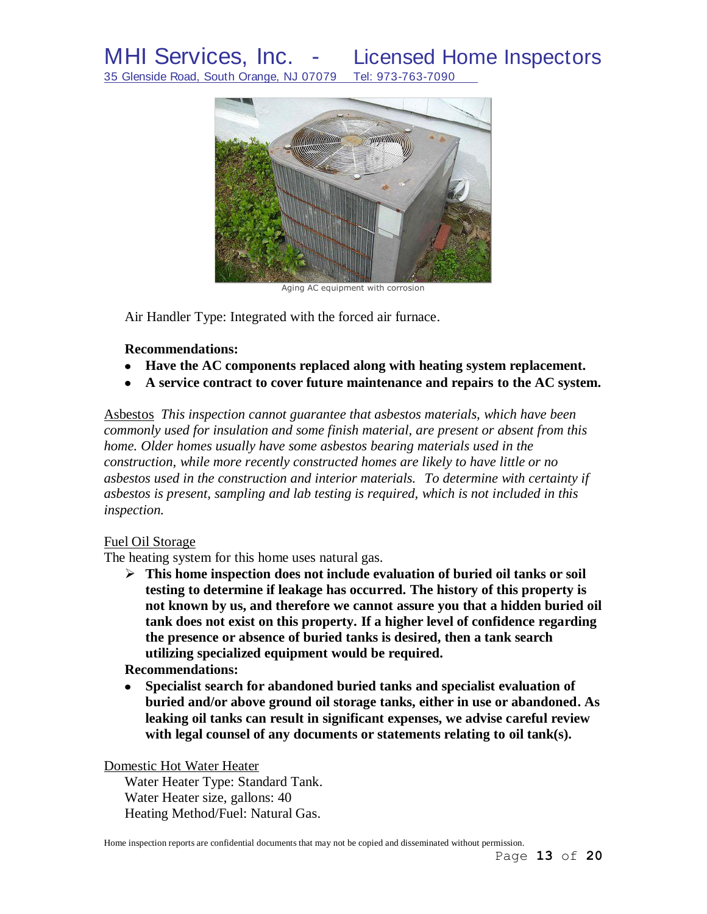

Aging AC equipment with corrosion

Air Handler Type: Integrated with the forced air furnace.

#### **Recommendations:**

- **Have the AC components replaced along with heating system replacement.**
- **A service contract to cover future maintenance and repairs to the AC system.**

Asbestos *This inspection cannot guarantee that asbestos materials, which have been commonly used for insulation and some finish material, are present or absent from this home. Older homes usually have some asbestos bearing materials used in the construction, while more recently constructed homes are likely to have little or no asbestos used in the construction and interior materials. To determine with certainty if asbestos is present, sampling and lab testing is required, which is not included in this inspection.* 

#### Fuel Oil Storage

The heating system for this home uses natural gas.

 **This home inspection does not include evaluation of buried oil tanks or soil testing to determine if leakage has occurred. The history of this property is not known by us, and therefore we cannot assure you that a hidden buried oil tank does not exist on this property. If a higher level of confidence regarding the presence or absence of buried tanks is desired, then a tank search utilizing specialized equipment would be required.**

### **Recommendations:**

**Specialist search for abandoned buried tanks and specialist evaluation of**   $\bullet$ **buried and/or above ground oil storage tanks, either in use or abandoned. As leaking oil tanks can result in significant expenses, we advise careful review with legal counsel of any documents or statements relating to oil tank(s).** 

Domestic Hot Water Heater

Water Heater Type: Standard Tank. Water Heater size, gallons: 40 Heating Method/Fuel: Natural Gas.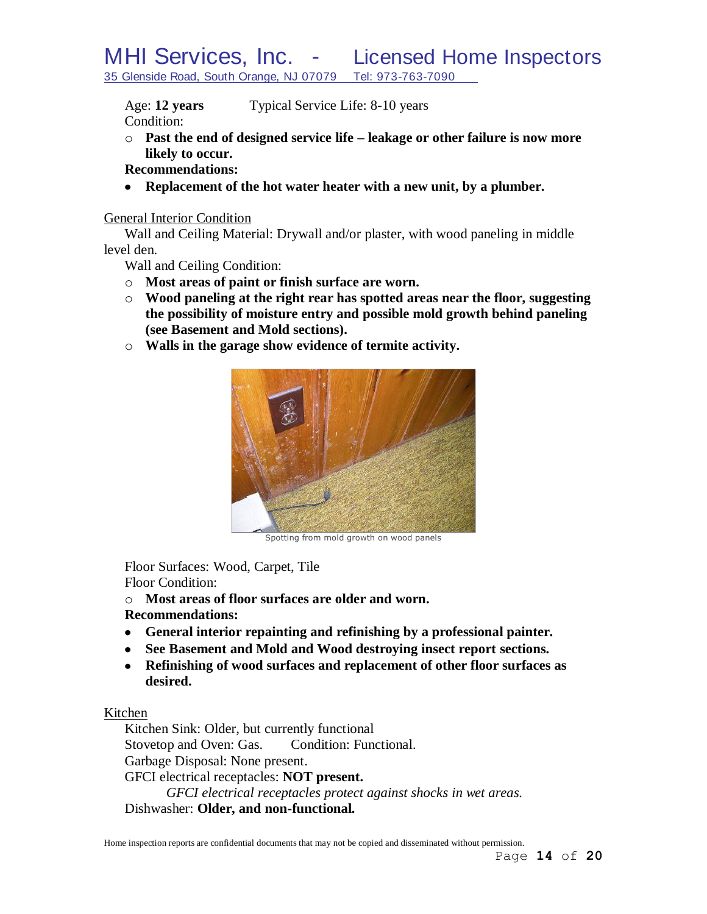Age: **12 years** Typical Service Life: 8-10 years

Condition:

- o **Past the end of designed service life – leakage or other failure is now more likely to occur.**
- **Recommendations:**
- **Replacement of the hot water heater with a new unit, by a plumber.**

## General Interior Condition

Wall and Ceiling Material: Drywall and/or plaster, with wood paneling in middle level den.

Wall and Ceiling Condition:

- o **Most areas of paint or finish surface are worn.**
- o **Wood paneling at the right rear has spotted areas near the floor, suggesting the possibility of moisture entry and possible mold growth behind paneling (see Basement and Mold sections).**
- o **Walls in the garage show evidence of termite activity.**



Spotting from mold growth on wood panels

Floor Surfaces: Wood, Carpet, Tile Floor Condition:

o **Most areas of floor surfaces are older and worn.**

## **Recommendations:**

- **General interior repainting and refinishing by a professional painter.**
- **See Basement and Mold and Wood destroying insect report sections.**
- **Refinishing of wood surfaces and replacement of other floor surfaces as desired.**

## Kitchen

Kitchen Sink: Older, but currently functional Stovetop and Oven: Gas. Condition: Functional. Garbage Disposal: None present. GFCI electrical receptacles: **NOT present.** *GFCI electrical receptacles protect against shocks in wet areas.* Dishwasher: **Older, and non-functional.**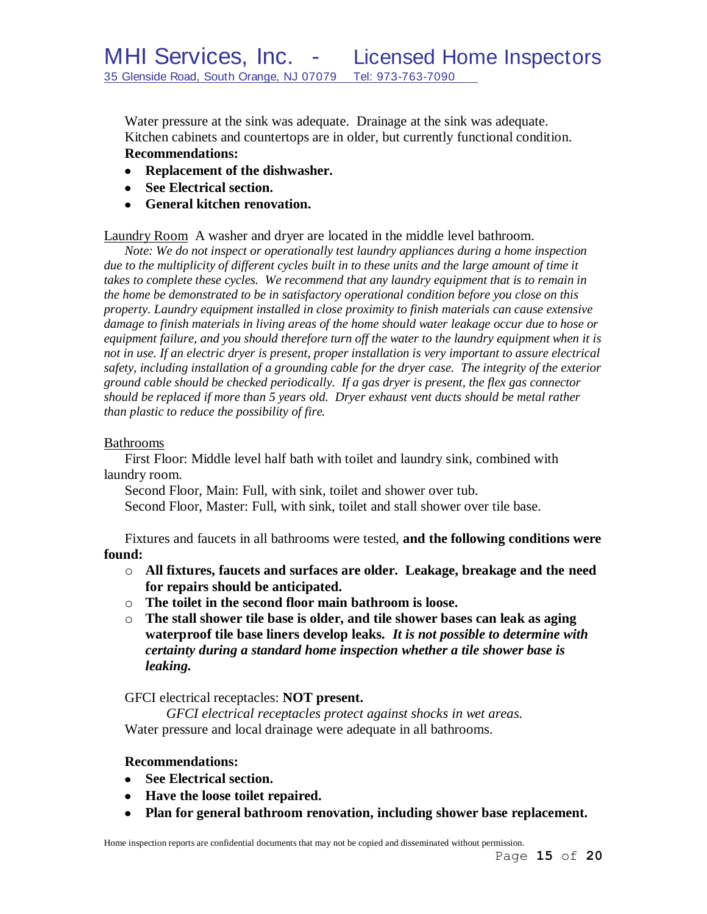Water pressure at the sink was adequate. Drainage at the sink was adequate. Kitchen cabinets and countertops are in older, but currently functional condition. **Recommendations:**

- **Replacement of the dishwasher.**
- **See Electrical section.**
- **General kitchen renovation.**

## Laundry Room A washer and dryer are located in the middle level bathroom.

*Note: We do not inspect or operationally test laundry appliances during a home inspection*  due to the multiplicity of different cycles built in to these units and the large amount of time it *takes to complete these cycles. We recommend that any laundry equipment that is to remain in the home be demonstrated to be in satisfactory operational condition before you close on this property. Laundry equipment installed in close proximity to finish materials can cause extensive damage to finish materials in living areas of the home should water leakage occur due to hose or equipment failure, and you should therefore turn off the water to the laundry equipment when it is not in use. If an electric dryer is present, proper installation is very important to assure electrical safety, including installation of a grounding cable for the dryer case. The integrity of the exterior ground cable should be checked periodically. If a gas dryer is present, the flex gas connector should be replaced if more than 5 years old. Dryer exhaust vent ducts should be metal rather than plastic to reduce the possibility of fire.*

#### Bathrooms

First Floor: Middle level half bath with toilet and laundry sink, combined with laundry room.

Second Floor, Main: Full, with sink, toilet and shower over tub. Second Floor, Master: Full, with sink, toilet and stall shower over tile base.

Fixtures and faucets in all bathrooms were tested, **and the following conditions were found:**

#### o **All fixtures, faucets and surfaces are older. Leakage, breakage and the need for repairs should be anticipated.**

- o **The toilet in the second floor main bathroom is loose.**
- o **The stall shower tile base is older, and tile shower bases can leak as aging waterproof tile base liners develop leaks.** *It is not possible to determine with certainty during a standard home inspection whether a tile shower base is leaking.*

GFCI electrical receptacles: **NOT present.**

*GFCI electrical receptacles protect against shocks in wet areas.* Water pressure and local drainage were adequate in all bathrooms.

#### **Recommendations:**

- **See Electrical section.**
- **Have the loose toilet repaired.**
- **Plan for general bathroom renovation, including shower base replacement.**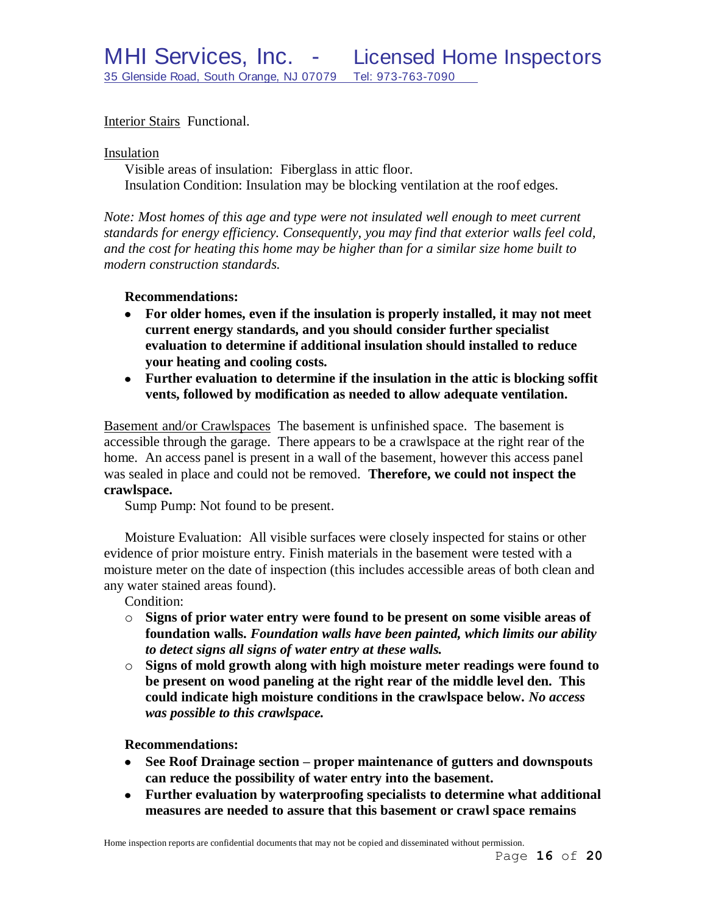## Interior Stairs Functional.

Insulation

Visible areas of insulation: Fiberglass in attic floor. Insulation Condition: Insulation may be blocking ventilation at the roof edges.

*Note: Most homes of this age and type were not insulated well enough to meet current standards for energy efficiency. Consequently, you may find that exterior walls feel cold, and the cost for heating this home may be higher than for a similar size home built to modern construction standards.*

#### **Recommendations:**

- **For older homes, even if the insulation is properly installed, it may not meet**   $\bullet$ **current energy standards, and you should consider further specialist evaluation to determine if additional insulation should installed to reduce your heating and cooling costs.**
- **Further evaluation to determine if the insulation in the attic is blocking soffit vents, followed by modification as needed to allow adequate ventilation.**

Basement and/or Crawlspaces The basement is unfinished space. The basement is accessible through the garage. There appears to be a crawlspace at the right rear of the home. An access panel is present in a wall of the basement, however this access panel was sealed in place and could not be removed. **Therefore, we could not inspect the crawlspace.**

Sump Pump: Not found to be present.

Moisture Evaluation: All visible surfaces were closely inspected for stains or other evidence of prior moisture entry. Finish materials in the basement were tested with a moisture meter on the date of inspection (this includes accessible areas of both clean and any water stained areas found).

Condition:

- o **Signs of prior water entry were found to be present on some visible areas of foundation walls.** *Foundation walls have been painted, which limits our ability to detect signs all signs of water entry at these walls.*
- o **Signs of mold growth along with high moisture meter readings were found to be present on wood paneling at the right rear of the middle level den. This could indicate high moisture conditions in the crawlspace below.** *No access was possible to this crawlspace.*

#### **Recommendations:**

- **See Roof Drainage section – proper maintenance of gutters and downspouts can reduce the possibility of water entry into the basement.**
- **Further evaluation by waterproofing specialists to determine what additional measures are needed to assure that this basement or crawl space remains**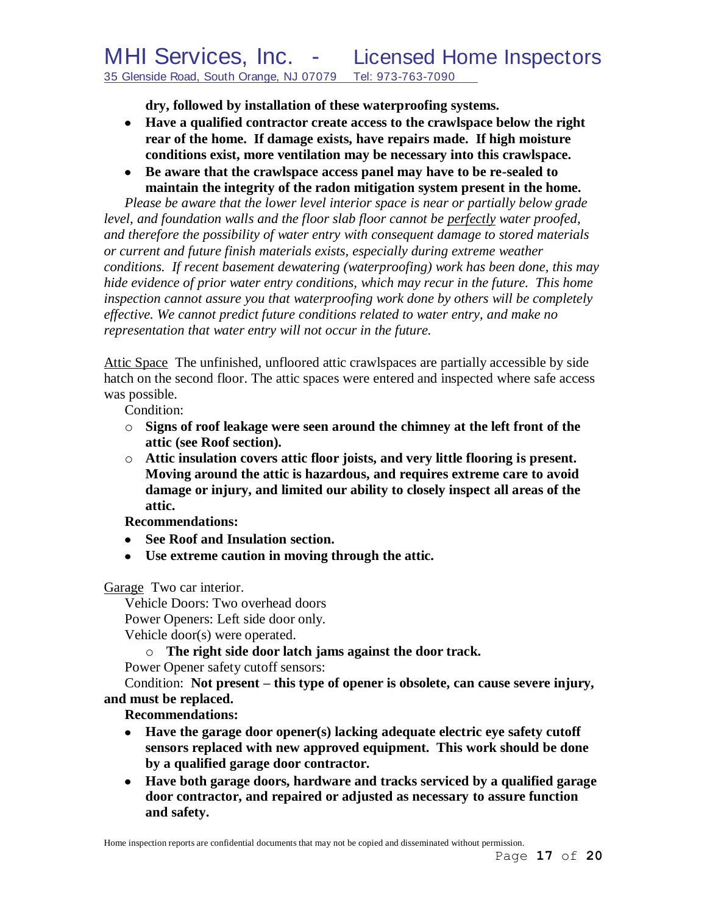**dry, followed by installation of these waterproofing systems.**

- **Have a qualified contractor create access to the crawlspace below the right rear of the home. If damage exists, have repairs made. If high moisture conditions exist, more ventilation may be necessary into this crawlspace.**
- **Be aware that the crawlspace access panel may have to be re-sealed to maintain the integrity of the radon mitigation system present in the home.**

*Please be aware that the lower level interior space is near or partially below grade level, and foundation walls and the floor slab floor cannot be perfectly water proofed, and therefore the possibility of water entry with consequent damage to stored materials or current and future finish materials exists, especially during extreme weather conditions. If recent basement dewatering (waterproofing) work has been done, this may hide evidence of prior water entry conditions, which may recur in the future. This home inspection cannot assure you that waterproofing work done by others will be completely effective. We cannot predict future conditions related to water entry, and make no representation that water entry will not occur in the future.*

Attic Space The unfinished, unfloored attic crawlspaces are partially accessible by side hatch on the second floor. The attic spaces were entered and inspected where safe access was possible.

Condition:

- o **Signs of roof leakage were seen around the chimney at the left front of the attic (see Roof section).**
- o **Attic insulation covers attic floor joists, and very little flooring is present. Moving around the attic is hazardous, and requires extreme care to avoid damage or injury, and limited our ability to closely inspect all areas of the attic.**

**Recommendations:**

- **See Roof and Insulation section.**
- **Use extreme caution in moving through the attic.**

Garage Two car interior.

Vehicle Doors: Two overhead doors Power Openers: Left side door only. Vehicle door(s) were operated.

o **The right side door latch jams against the door track.**

Power Opener safety cutoff sensors:

Condition: **Not present – this type of opener is obsolete, can cause severe injury, and must be replaced.**

## **Recommendations:**

- **Have the garage door opener(s) lacking adequate electric eye safety cutoff sensors replaced with new approved equipment. This work should be done by a qualified garage door contractor.**
- **Have both garage doors, hardware and tracks serviced by a qualified garage door contractor, and repaired or adjusted as necessary to assure function and safety.**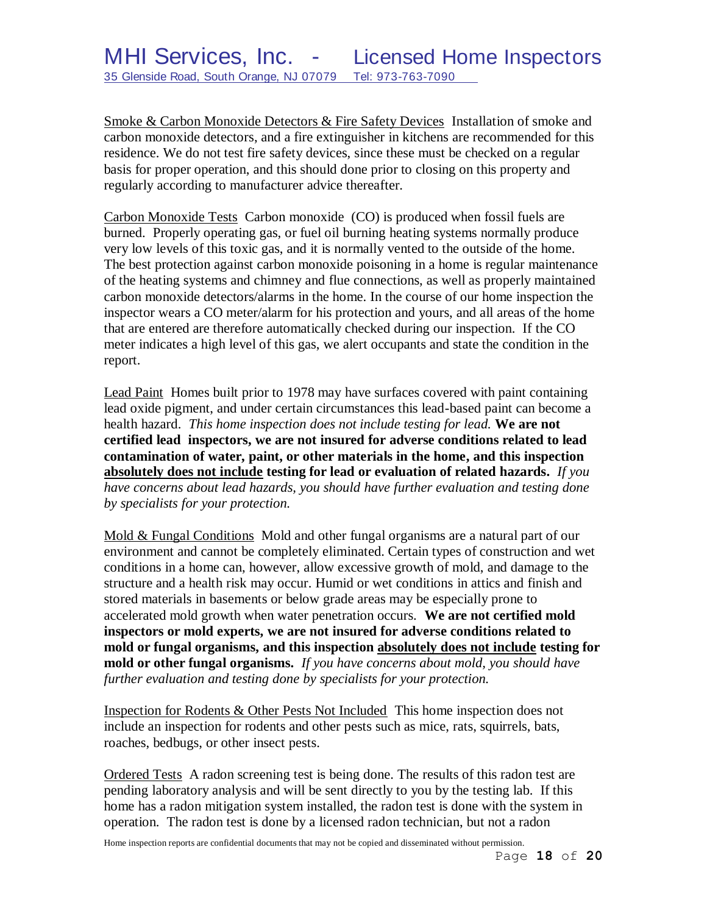Smoke & Carbon Monoxide Detectors & Fire Safety Devices Installation of smoke and carbon monoxide detectors, and a fire extinguisher in kitchens are recommended for this residence. We do not test fire safety devices, since these must be checked on a regular basis for proper operation, and this should done prior to closing on this property and regularly according to manufacturer advice thereafter.

Carbon Monoxide Tests Carbon monoxide (CO) is produced when fossil fuels are burned. Properly operating gas, or fuel oil burning heating systems normally produce very low levels of this toxic gas, and it is normally vented to the outside of the home. The best protection against carbon monoxide poisoning in a home is regular maintenance of the heating systems and chimney and flue connections, as well as properly maintained carbon monoxide detectors/alarms in the home. In the course of our home inspection the inspector wears a CO meter/alarm for his protection and yours, and all areas of the home that are entered are therefore automatically checked during our inspection. If the CO meter indicates a high level of this gas, we alert occupants and state the condition in the report.

Lead Paint Homes built prior to 1978 may have surfaces covered with paint containing lead oxide pigment, and under certain circumstances this lead-based paint can become a health hazard. *This home inspection does not include testing for lead.* **We are not certified lead inspectors, we are not insured for adverse conditions related to lead contamination of water, paint, or other materials in the home, and this inspection absolutely does not include testing for lead or evaluation of related hazards.** *If you have concerns about lead hazards, you should have further evaluation and testing done by specialists for your protection.*

Mold & Fungal Conditions Mold and other fungal organisms are a natural part of our environment and cannot be completely eliminated. Certain types of construction and wet conditions in a home can, however, allow excessive growth of mold, and damage to the structure and a health risk may occur. Humid or wet conditions in attics and finish and stored materials in basements or below grade areas may be especially prone to accelerated mold growth when water penetration occurs. **We are not certified mold inspectors or mold experts, we are not insured for adverse conditions related to mold or fungal organisms, and this inspection absolutely does not include testing for mold or other fungal organisms.** *If you have concerns about mold, you should have further evaluation and testing done by specialists for your protection.*

Inspection for Rodents & Other Pests Not Included This home inspection does not include an inspection for rodents and other pests such as mice, rats, squirrels, bats, roaches, bedbugs, or other insect pests.

Ordered Tests A radon screening test is being done. The results of this radon test are pending laboratory analysis and will be sent directly to you by the testing lab. If this home has a radon mitigation system installed, the radon test is done with the system in operation. The radon test is done by a licensed radon technician, but not a radon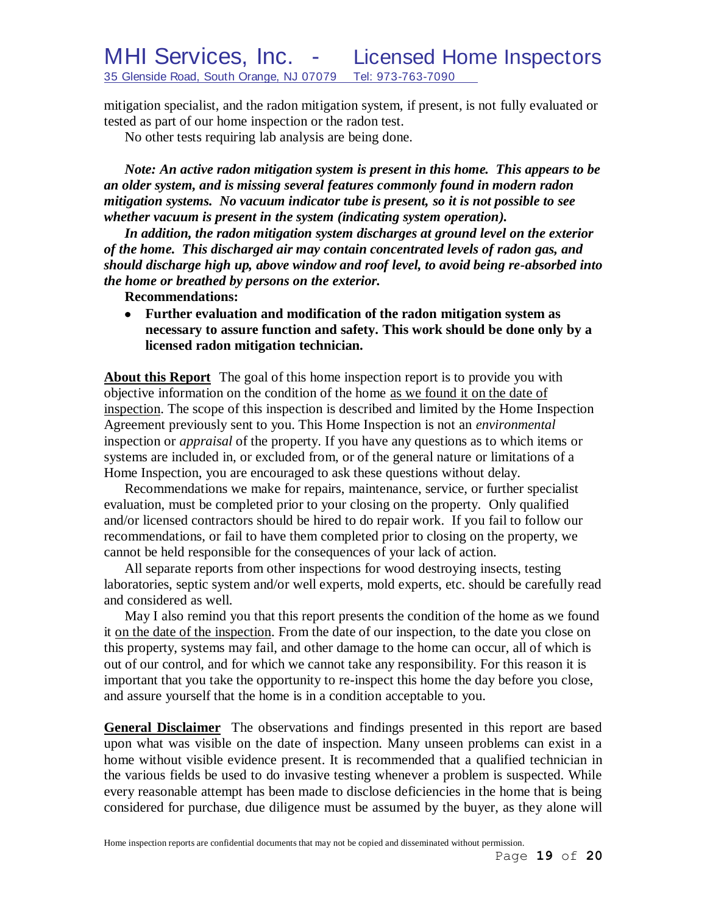mitigation specialist, and the radon mitigation system, if present, is not fully evaluated or tested as part of our home inspection or the radon test.

No other tests requiring lab analysis are being done.

*Note: An active radon mitigation system is present in this home. This appears to be an older system, and is missing several features commonly found in modern radon mitigation systems. No vacuum indicator tube is present, so it is not possible to see whether vacuum is present in the system (indicating system operation).*

*In addition, the radon mitigation system discharges at ground level on the exterior of the home. This discharged air may contain concentrated levels of radon gas, and should discharge high up, above window and roof level, to avoid being re-absorbed into the home or breathed by persons on the exterior.*

**Recommendations:**

**Further evaluation and modification of the radon mitigation system as**   $\bullet$ **necessary to assure function and safety. This work should be done only by a licensed radon mitigation technician.**

**About this Report** The goal of this home inspection report is to provide you with objective information on the condition of the home as we found it on the date of inspection. The scope of this inspection is described and limited by the Home Inspection Agreement previously sent to you. This Home Inspection is not an *environmental* inspection or *appraisal* of the property. If you have any questions as to which items or systems are included in, or excluded from, or of the general nature or limitations of a Home Inspection, you are encouraged to ask these questions without delay.

Recommendations we make for repairs, maintenance, service, or further specialist evaluation, must be completed prior to your closing on the property. Only qualified and/or licensed contractors should be hired to do repair work. If you fail to follow our recommendations, or fail to have them completed prior to closing on the property, we cannot be held responsible for the consequences of your lack of action.

All separate reports from other inspections for wood destroying insects, testing laboratories, septic system and/or well experts, mold experts, etc. should be carefully read and considered as well.

May I also remind you that this report presents the condition of the home as we found it on the date of the inspection. From the date of our inspection, to the date you close on this property, systems may fail, and other damage to the home can occur, all of which is out of our control, and for which we cannot take any responsibility. For this reason it is important that you take the opportunity to re-inspect this home the day before you close, and assure yourself that the home is in a condition acceptable to you.

**General Disclaimer** The observations and findings presented in this report are based upon what was visible on the date of inspection. Many unseen problems can exist in a home without visible evidence present. It is recommended that a qualified technician in the various fields be used to do invasive testing whenever a problem is suspected. While every reasonable attempt has been made to disclose deficiencies in the home that is being considered for purchase, due diligence must be assumed by the buyer, as they alone will